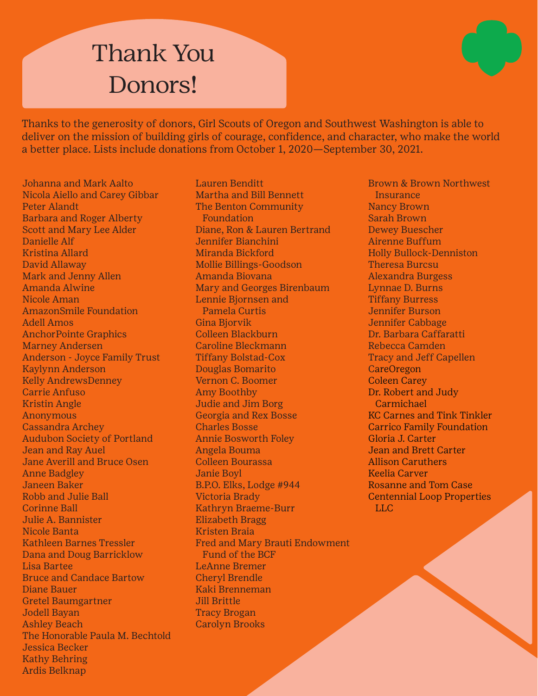

Thanks to the generosity of donors, Girl Scouts of Oregon and Southwest Washington is able to deliver on the mission of building girls of courage, confidence, and character, who make the world a better place. Lists include donations from October 1, 2020—September 30, 2021.

Johanna and Mark Aalto Nicola Aiello and Carey Gibbar Peter Alandt Barbara and Roger Alberty Scott and Mary Lee Alder Danielle Alf Kristina Allard David Allaway Mark and Jenny Allen Amanda Alwine Nicole Aman AmazonSmile Foundation Adell Amos AnchorPointe Graphics Marney Andersen Anderson - Joyce Family Trust Kaylynn Anderson Kelly AndrewsDenney Carrie Anfuso Kristin Angle Anonymous Cassandra Archey Audubon Society of Portland Jean and Ray Auel Jane Averill and Bruce Osen Anne Badgley Janeen Baker Robb and Julie Ball Corinne Ball Julie A. Bannister Nicole Banta Kathleen Barnes Tressler Dana and Doug Barricklow Lisa Bartee Bruce and Candace Bartow Diane Bauer Gretel Baumgartner Jodell Bayan Ashley Beach The Honorable Paula M. Bechtold Jessica Becker Kathy Behring Ardis Belknap

Lauren Benditt Martha and Bill Bennett The Benton Community Foundation Diane, Ron & Lauren Bertrand Jennifer Bianchini Miranda Bickford Mollie Billings-Goodson Amanda Biovana Mary and Georges Birenbaum Lennie Bjornsen and Pamela Curtis Gina Bjorvik Colleen Blackburn Caroline Bleckmann Tiffany Bolstad-Cox Douglas Bomarito Vernon C. Boomer Amy Boothby Judie and Jim Borg Georgia and Rex Bosse Charles Bosse Annie Bosworth Foley Angela Bouma Colleen Bourassa Janie Boyl B.P.O. Elks, Lodge #944 Victoria Brady Kathryn Braeme-Burr Elizabeth Bragg Kristen Braia Fred and Mary Brauti Endowment Fund of the BCF LeAnne Bremer Cheryl Brendle Kaki Brenneman Jill Brittle Tracy Brogan Carolyn Brooks

Brown & Brown Northwest **Insurance** Nancy Brown Sarah Brown Dewey Buescher Airenne Buffum Holly Bullock-Denniston Theresa Burcsu Alexandra Burgess Lynnae D. Burns Tiffany Burress Jennifer Burson Jennifer Cabbage Dr. Barbara Caffaratti Rebecca Camden Tracy and Jeff Capellen CareOregon Coleen Carey Dr. Robert and Judy Carmichael KC Carnes and Tink Tinkler Carrico Family Foundation Gloria J. Carter Jean and Brett Carter Allison Caruthers Keelia Carver Rosanne and Tom Case Centennial Loop Properties LLC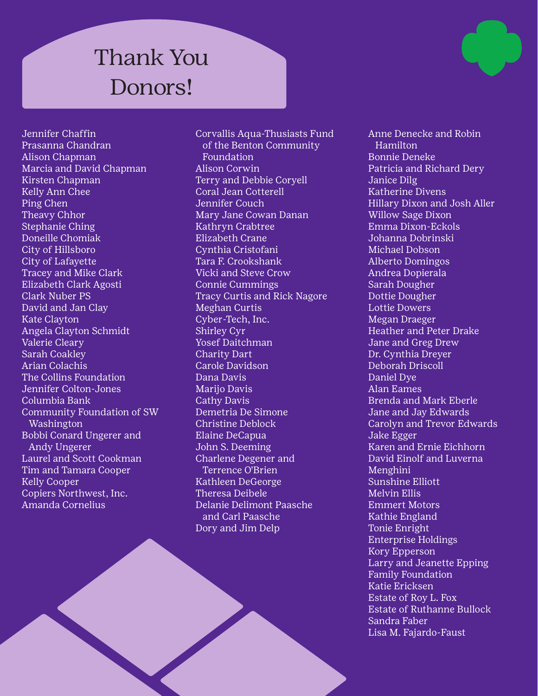Jennifer Chaffin Prasanna Chandran Alison Chapman Marcia and David Chapman Kirsten Chapman Kelly Ann Chee Ping Chen Theavy Chhor Stephanie Ching Doneille Chomiak City of Hillsboro City of Lafayette Tracey and Mike Clark Elizabeth Clark Agosti Clark Nuber PS David and Jan Clay Kate Clayton Angela Clayton Schmidt Valerie Cleary Sarah Coakley Arian Colachis The Collins Foundation Jennifer Colton-Jones Columbia Bank Community Foundation of SW Washington Bobbi Conard Ungerer and Andy Ungerer Laurel and Scott Cookman Tim and Tamara Cooper Kelly Cooper Copiers Northwest, Inc. Amanda Cornelius

Corvallis Aqua-Thusiasts Fund of the Benton Community Foundation Alison Corwin Terry and Debbie Coryell Coral Jean Cotterell Jennifer Couch Mary Jane Cowan Danan Kathryn Crabtree Elizabeth Crane Cynthia Cristofani Tara F. Crookshank Vicki and Steve Crow Connie Cummings Tracy Curtis and Rick Nagore Meghan Curtis Cyber-Tech, Inc. Shirley Cyr Yosef Daitchman Charity Dart Carole Davidson Dana Davis Marijo Davis Cathy Davis Demetria De Simone Christine Deblock Elaine DeCapua John S. Deeming Charlene Degener and Terrence O'Brien Kathleen DeGeorge Theresa Deibele Delanie Delimont Paasche and Carl Paasche Dory and Jim Delp

Anne Denecke and Robin **Hamilton** Bonnie Deneke Patricia and Richard Dery Janice Dilg Katherine Divens Hillary Dixon and Josh Aller Willow Sage Dixon Emma Dixon-Eckols Johanna Dobrinski Michael Dobson Alberto Domingos Andrea Dopierala Sarah Dougher Dottie Dougher Lottie Dowers Megan Draeger Heather and Peter Drake Jane and Greg Drew Dr. Cynthia Dreyer Deborah Driscoll Daniel Dye Alan Eames Brenda and Mark Eberle Jane and Jay Edwards Carolyn and Trevor Edwards Jake Egger Karen and Ernie Eichhorn David Einolf and Luverna Menghini Sunshine Elliott Melvin Ellis Emmert Motors Kathie England Tonie Enright Enterprise Holdings Kory Epperson Larry and Jeanette Epping Family Foundation Katie Ericksen Estate of Roy L. Fox Estate of Ruthanne Bullock Sandra Faber Lisa M. Fajardo-Faust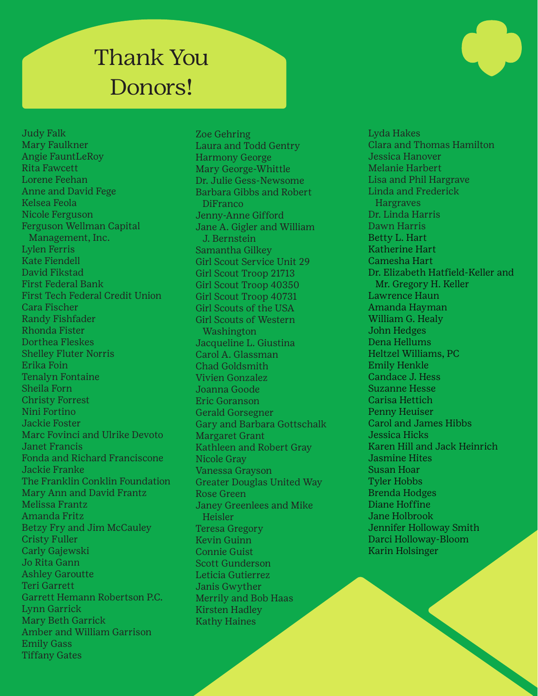Judy Falk Mary Faulkner Angie FauntLeRoy Rita Fawcett Lorene Feehan Anne and David Fege Kelsea Feola Nicole Ferguson Ferguson Wellman Capital Management, Inc. Lylen Ferris Kate Fiendell David Fikstad First Federal Bank First Tech Federal Credit Union Cara Fischer Randy Fishfader Rhonda Fister Dorthea Fleskes Shelley Fluter Norris Erika Foin Tenalyn Fontaine Sheila Forn Christy Forrest Nini Fortino Jackie Foster Marc Fovinci and Ulrike Devoto Janet Francis Fonda and Richard Franciscone Jackie Franke The Franklin Conklin Foundation Mary Ann and David Frantz Melissa Frantz Amanda Fritz Betzy Fry and Jim McCauley Cristy Fuller Carly Gajewski Jo Rita Gann Ashley Garoutte Teri Garrett Garrett Hemann Robertson P.C. Lynn Garrick Mary Beth Garrick Amber and William Garrison Emily Gass Tiffany Gates

Zoe Gehring Laura and Todd Gentry Harmony George Mary George-Whittle Dr. Julie Gess-Newsome Barbara Gibbs and Robert DiFranco Jenny-Anne Gifford Jane A. Gigler and William J. Bernstein Samantha Gilkey Girl Scout Service Unit 29 Girl Scout Troop 21713 Girl Scout Troop 40350 Girl Scout Troop 40731 Girl Scouts of the USA Girl Scouts of Western Washington Jacqueline L. Giustina Carol A. Glassman Chad Goldsmith Vivien Gonzalez Joanna Goode Eric Goranson Gerald Gorsegner Gary and Barbara Gottschalk Margaret Grant Kathleen and Robert Gray Nicole Gray Vanessa Grayson Greater Douglas United Way Rose Green Janey Greenlees and Mike Heisler Teresa Gregory Kevin Guinn Connie Guist Scott Gunderson Leticia Gutierrez Janis Gwyther Merrily and Bob Haas Kirsten Hadley Kathy Haines

Lyda Hakes Clara and Thomas Hamilton Jessica Hanover Melanie Harbert Lisa and Phil Hargrave Linda and Frederick **Hargraves** Dr. Linda Harris Dawn Harris Betty L. Hart Katherine Hart Camesha Hart Dr. Elizabeth Hatfield-Keller and Mr. Gregory H. Keller Lawrence Haun Amanda Hayman William G. Healy John Hedges Dena Hellums Heltzel Williams, PC Emily Henkle Candace J. Hess Suzanne Hesse Carisa Hettich Penny Heuiser Carol and James Hibbs Jessica Hicks Karen Hill and Jack Heinrich Jasmine Hites Susan Hoar Tyler Hobbs Brenda Hodges Diane Hoffine Jane Holbrook Jennifer Holloway Smith Darci Holloway-Bloom Karin Holsinger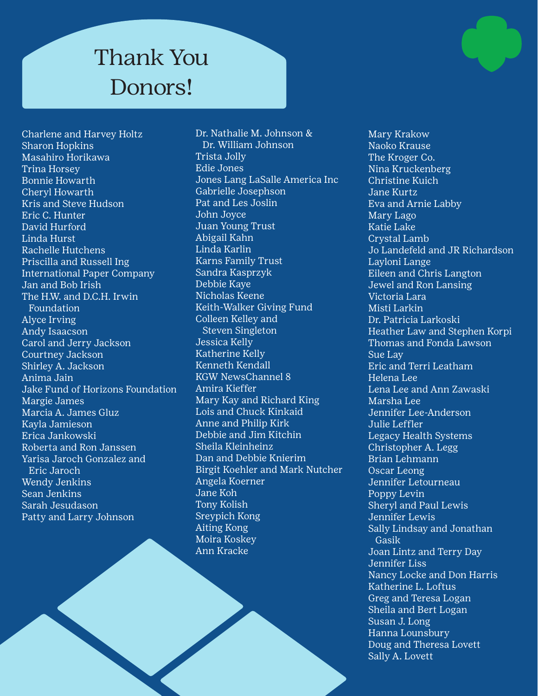Charlene and Harvey Holtz Sharon Hopkins Masahiro Horikawa Trina Horsey Bonnie Howarth Cheryl Howarth Kris and Steve Hudson Eric C. Hunter David Hurford Linda Hurst Rachelle Hutchens Priscilla and Russell Ing International Paper Company Jan and Bob Irish The H.W. and D.C.H. Irwin Foundation Alyce Irving Andy Isaacson Carol and Jerry Jackson Courtney Jackson Shirley A. Jackson Anima Jain Jake Fund of Horizons Foundation Margie James Marcia A. James Gluz Kayla Jamieson Erica Jankowski Roberta and Ron Janssen Yarisa Jaroch Gonzalez and Eric Jaroch Wendy Jenkins Sean Jenkins Sarah Jesudason Patty and Larry Johnson

Dr. Nathalie M. Johnson & Dr. William Johnson Trista Jolly Edie Jones Jones Lang LaSalle America Inc Gabrielle Josephson Pat and Les Joslin John Joyce Juan Young Trust Abigail Kahn Linda Karlin Karns Family Trust Sandra Kasprzyk Debbie Kaye Nicholas Keene Keith-Walker Giving Fund Colleen Kelley and Steven Singleton Jessica Kelly Katherine Kelly Kenneth Kendall KGW NewsChannel 8 Amira Kieffer Mary Kay and Richard King Lois and Chuck Kinkaid Anne and Philip Kirk Debbie and Jim Kitchin Sheila Kleinheinz Dan and Debbie Knierim Birgit Koehler and Mark Nutcher Angela Koerner Jane Koh Tony Kolish Sreypich Kong Aiting Kong Moira Koskey Ann Kracke

Mary Krakow Naoko Krause The Kroger Co. Nina Kruckenberg Christine Kuich Jane Kurtz Eva and Arnie Labby Mary Lago Katie Lake Crystal Lamb Jo Landefeld and JR Richardson Layloni Lange Eileen and Chris Langton Jewel and Ron Lansing Victoria Lara Misti Larkin Dr. Patricia Larkoski Heather Law and Stephen Korpi Thomas and Fonda Lawson Sue Lay Eric and Terri Leatham Helena Lee Lena Lee and Ann Zawaski Marsha Lee Jennifer Lee-Anderson Julie Leffler Legacy Health Systems Christopher A. Legg Brian Lehmann Oscar Leong Jennifer Letourneau Poppy Levin Sheryl and Paul Lewis Jennifer Lewis Sally Lindsay and Jonathan Gasik Joan Lintz and Terry Day Jennifer Liss Nancy Locke and Don Harris Katherine L. Loftus Greg and Teresa Logan Sheila and Bert Logan Susan J. Long Hanna Lounsbury Doug and Theresa Lovett Sally A. Lovett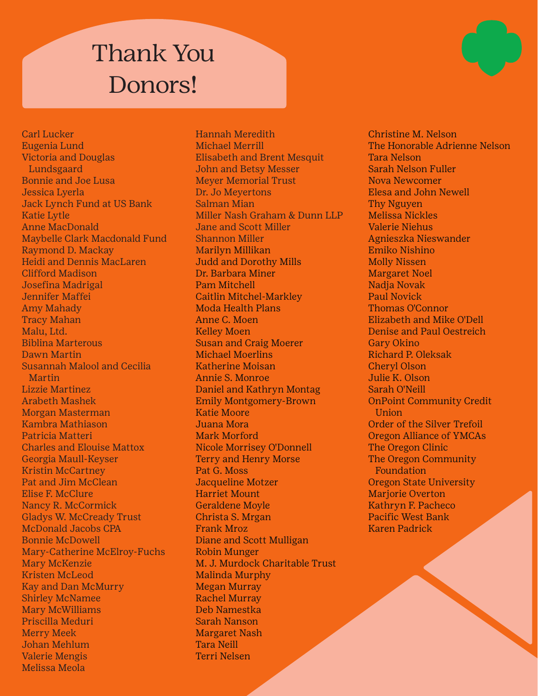Carl Lucker Eugenia Lund Victoria and Douglas Lundsgaard Bonnie and Joe Lusa Jessica Lyerla Jack Lynch Fund at US Bank Katie Lytle Anne MacDonald Maybelle Clark Macdonald Fund Raymond D. Mackay Heidi and Dennis MacLaren Clifford Madison Josefina Madrigal Jennifer Maffei Amy Mahady Tracy Mahan Malu, Ltd. Biblina Marterous Dawn Martin Susannah Malool and Cecilia Martin Lizzie Martinez Arabeth Mashek Morgan Masterman Kambra Mathiason Patricia Matteri Charles and Elouise Mattox Georgia Maull-Keyser Kristin McCartney Pat and Jim McClean Elise F. McClure Nancy R. McCormick Gladys W. McCready Trust McDonald Jacobs CPA Bonnie McDowell Mary-Catherine McElroy-Fuchs Mary McKenzie Kristen McLeod Kay and Dan McMurry Shirley McNamee Mary McWilliams Priscilla Meduri Merry Meek Johan Mehlum Valerie Mengis Melissa Meola

Hannah Meredith Michael Merrill Elisabeth and Brent Mesquit John and Betsy Messer Meyer Memorial Trust Dr. Jo Meyertons Salman Mian Miller Nash Graham & Dunn LLP Jane and Scott Miller Shannon Miller Marilyn Millikan Judd and Dorothy Mills Dr. Barbara Miner Pam Mitchell Caitlin Mitchel-Markley Moda Health Plans Anne C. Moen Kelley Moen Susan and Craig Moerer Michael Moerlins Katherine Moisan Annie S. Monroe Daniel and Kathryn Montag Emily Montgomery-Brown Katie Moore Juana Mora Mark Morford Nicole Morrisey O'Donnell Terry and Henry Morse Pat G. Moss Jacqueline Motzer Harriet Mount Geraldene Moyle Christa S. Mrgan Frank Mroz Diane and Scott Mulligan Robin Munger M. J. Murdock Charitable Trust Malinda Murphy Megan Murray Rachel Murray Deb Namestka Sarah Nanson Margaret Nash Tara Neill Terri Nelsen

Christine M. Nelson The Honorable Adrienne Nelson Tara Nelson Sarah Nelson Fuller Nova Newcomer Elesa and John Newell Thy Nguyen Melissa Nickles Valerie Niehus Agnieszka Nieswander Emiko Nishino Molly Nissen Margaret Noel Nadja Novak Paul Novick Thomas O'Connor Elizabeth and Mike O'Dell Denise and Paul Oestreich Gary Okino Richard P. Oleksak Cheryl Olson Julie K. Olson Sarah O'Neill OnPoint Community Credit **Union** Order of the Silver Trefoil Oregon Alliance of YMCAs The Oregon Clinic The Oregon Community Foundation Oregon State University Marjorie Overton Kathryn F. Pacheco Pacific West Bank Karen Padrick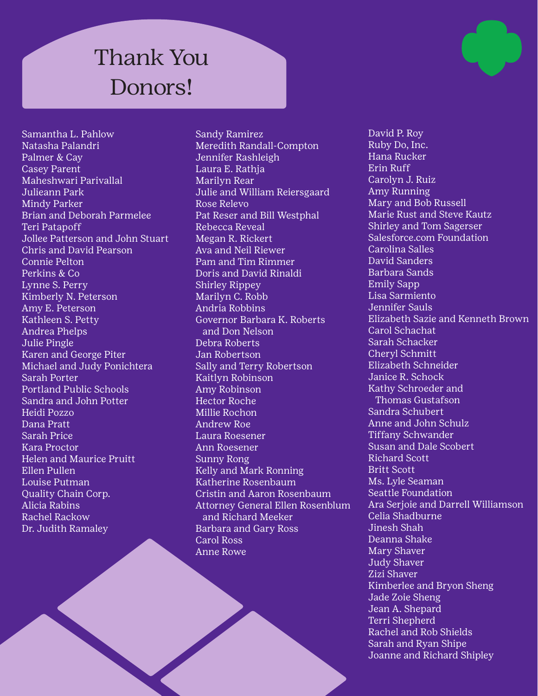Samantha L. Pahlow Natasha Palandri Palmer & Cay Casey Parent Maheshwari Parivallal Julieann Park Mindy Parker Brian and Deborah Parmelee Teri Patapoff Jollee Patterson and John Stuart Chris and David Pearson Connie Pelton Perkins & Co Lynne S. Perry Kimberly N. Peterson Amy E. Peterson Kathleen S. Petty Andrea Phelps Julie Pingle Karen and George Piter Michael and Judy Ponichtera Sarah Porter Portland Public Schools Sandra and John Potter Heidi Pozzo Dana Pratt Sarah Price Kara Proctor Helen and Maurice Pruitt Ellen Pullen Louise Putman Quality Chain Corp. Alicia Rabins Rachel Rackow Dr. Judith Ramaley

Sandy Ramirez Meredith Randall-Compton Jennifer Rashleigh Laura E. Rathja Marilyn Rear Julie and William Reiersgaard Rose Relevo Pat Reser and Bill Westphal Rebecca Reveal Megan R. Rickert Ava and Neil Riewer Pam and Tim Rimmer Doris and David Rinaldi Shirley Rippey Marilyn C. Robb Andria Robbins Governor Barbara K. Roberts and Don Nelson Debra Roberts Jan Robertson Sally and Terry Robertson Kaitlyn Robinson Amy Robinson Hector Roche Millie Rochon Andrew Roe Laura Roesener Ann Roesener Sunny Rong Kelly and Mark Ronning Katherine Rosenbaum Cristin and Aaron Rosenbaum Attorney General Ellen Rosenblum and Richard Meeker Barbara and Gary Ross Carol Ross Anne Rowe

David P. Roy Ruby Do, Inc. Hana Rucker Erin Ruff Carolyn J. Ruiz Amy Running Mary and Bob Russell Marie Rust and Steve Kautz Shirley and Tom Sagerser Salesforce.com Foundation Carolina Salles David Sanders Barbara Sands Emily Sapp Lisa Sarmiento Jennifer Sauls Elizabeth Sazie and Kenneth Brown Carol Schachat Sarah Schacker Cheryl Schmitt Elizabeth Schneider Janice R. Schock Kathy Schroeder and Thomas Gustafson Sandra Schubert Anne and John Schulz Tiffany Schwander Susan and Dale Scobert Richard Scott Britt Scott Ms. Lyle Seaman Seattle Foundation Ara Serjoie and Darrell Williamson Celia Shadburne Jinesh Shah Deanna Shake Mary Shaver Judy Shaver Zizi Shaver Kimberlee and Bryon Sheng Jade Zoie Sheng Jean A. Shepard Terri Shepherd Rachel and Rob Shields Sarah and Ryan Shipe Joanne and Richard Shipley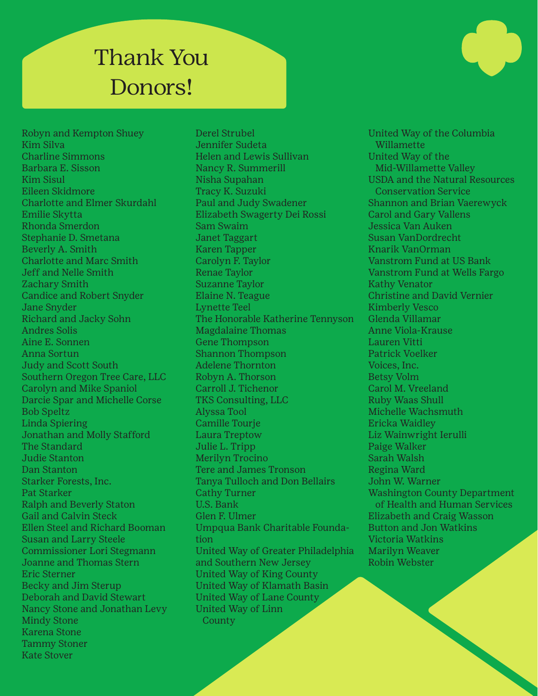Robyn and Kempton Shuey Kim Silva Charline Simmons Barbara E. Sisson Kim Sisul Eileen Skidmore Charlotte and Elmer Skurdahl Emilie Skytta Rhonda Smerdon Stephanie D. Smetana Beverly A. Smith Charlotte and Marc Smith Jeff and Nelle Smith Zachary Smith Candice and Robert Snyder Jane Snyder Richard and Jacky Sohn Andres Solis Aine E. Sonnen Anna Sortun Judy and Scott South Southern Oregon Tree Care, LLC Carolyn and Mike Spaniol Darcie Spar and Michelle Corse Bob Speltz Linda Spiering Jonathan and Molly Stafford The Standard Judie Stanton Dan Stanton Starker Forests, Inc. Pat Starker Ralph and Beverly Staton Gail and Calvin Steck Ellen Steel and Richard Booman Susan and Larry Steele Commissioner Lori Stegmann Joanne and Thomas Stern Eric Sterner Becky and Jim Sterup Deborah and David Stewart Nancy Stone and Jonathan Levy Mindy Stone Karena Stone Tammy Stoner Kate Stover

Derel Strubel Jennifer Sudeta Helen and Lewis Sullivan Nancy R. Summerill Nisha Supahan Tracy K. Suzuki Paul and Judy Swadener Elizabeth Swagerty Dei Rossi Sam Swaim Janet Taggart Karen Tapper Carolyn F. Taylor Renae Taylor Suzanne Taylor Elaine N. Teague Lynette Teel The Honorable Katherine Tennyson Magdalaine Thomas Gene Thompson Shannon Thompson Adelene Thornton Robyn A. Thorson Carroll J. Tichenor TKS Consulting, LLC Alyssa Tool Camille Tourje Laura Treptow Julie L. Tripp Merilyn Trocino Tere and James Tronson Tanya Tulloch and Don Bellairs Cathy Turner U.S. Bank Glen F. Ulmer Umpqua Bank Charitable Foundation United Way of Greater Philadelphia and Southern New Jersey United Way of King County United Way of Klamath Basin United Way of Lane County United Way of Linn County

United Way of the Columbia Willamette United Way of the Mid-Willamette Valley USDA and the Natural Resources Conservation Service Shannon and Brian Vaerewyck Carol and Gary Vallens Jessica Van Auken Susan VanDordrecht Knarik VanOrman Vanstrom Fund at US Bank Vanstrom Fund at Wells Fargo Kathy Venator Christine and David Vernier Kimberly Vesco Glenda Villamar Anne Viola-Krause Lauren Vitti Patrick Voelker Voices, Inc. Betsy Volm Carol M. Vreeland Ruby Waas Shull Michelle Wachsmuth Ericka Waidley Liz Wainwright Ierulli Paige Walker Sarah Walsh Regina Ward John W. Warner Washington County Department of Health and Human Services Elizabeth and Craig Wasson Button and Jon Watkins Victoria Watkins Marilyn Weaver Robin Webster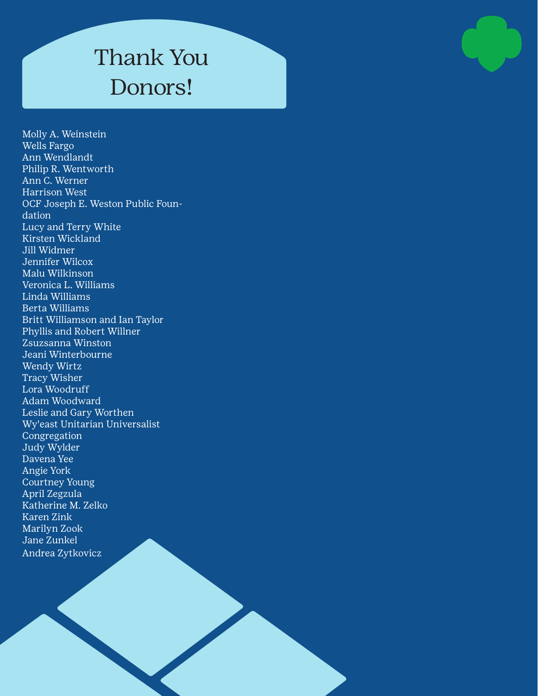Molly A. Weinstein Wells Fargo Ann Wendlandt Philip R. Wentworth Ann C. Werner Harrison West OCF Joseph E. Weston Public Foundation Lucy and Terry White Kirsten Wickland Jill Widmer Jennifer Wilcox Malu Wilkinson Veronica L. Williams Linda Williams Berta Williams Britt Williamson and Ian Taylor Phyllis and Robert Willner Zsuzsanna Winston Jeani Winterbourne Wendy Wirtz Tracy Wisher Lora Woodruff Adam Woodward Leslie and Gary Worthen Wy'east Unitarian Universalist Congregation Judy Wylder Davena Yee Angie York Courtney Young April Zegzula Katherine M. Zelko Karen Zink Marilyn Zook Jane Zunkel Andrea Zytkovicz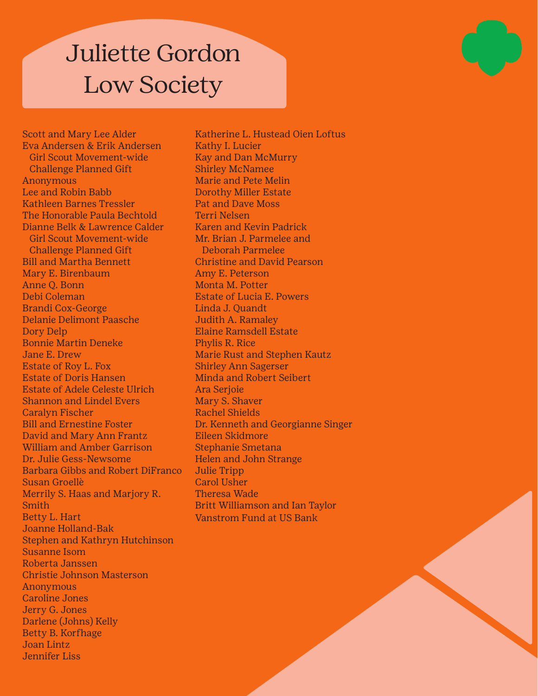# Juliette Gordon Low Society

Scott and Mary Lee Alder Eva Andersen & Erik Andersen Girl Scout Movement-wide Challenge Planned Gift Anonymous Lee and Robin Babb Kathleen Barnes Tressler The Honorable Paula Bechtold Dianne Belk & Lawrence Calder Girl Scout Movement-wide Challenge Planned Gift Bill and Martha Bennett Mary E. Birenbaum Anne Q. Bonn Debi Coleman Brandi Cox-George Delanie Delimont Paasche Dory Delp Bonnie Martin Deneke Jane E. Drew Estate of Roy L. Fox Estate of Doris Hansen Estate of Adele Celeste Ulrich Shannon and Lindel Evers Caralyn Fischer Bill and Ernestine Foster David and Mary Ann Frantz William and Amber Garrison Dr. Julie Gess-Newsome Barbara Gibbs and Robert DiFranco Susan Groellè Merrily S. Haas and Marjory R. Smith Betty L. Hart Joanne Holland-Bak Stephen and Kathryn Hutchinson Susanne Isom Roberta Janssen Christie Johnson Masterson **Anonymous** Caroline Jones Jerry G. Jones Darlene (Johns) Kelly Betty B. Korfhage Joan Lintz Jennifer Liss

Katherine L. Hustead Oien Loftus Kathy I. Lucier Kay and Dan McMurry Shirley McNamee Marie and Pete Melin Dorothy Miller Estate Pat and Dave Moss Terri Nelsen Karen and Kevin Padrick Mr. Brian J. Parmelee and Deborah Parmelee Christine and David Pearson Amy E. Peterson Monta M. Potter Estate of Lucia E. Powers Linda J. Quandt Judith A. Ramaley Elaine Ramsdell Estate Phylis R. Rice Marie Rust and Stephen Kautz Shirley Ann Sagerser Minda and Robert Seibert Ara Serjoie Mary S. Shaver Rachel Shields Dr. Kenneth and Georgianne Singer Eileen Skidmore Stephanie Smetana Helen and John Strange Julie Tripp Carol Usher Theresa Wade Britt Williamson and Ian Taylor Vanstrom Fund at US Bank